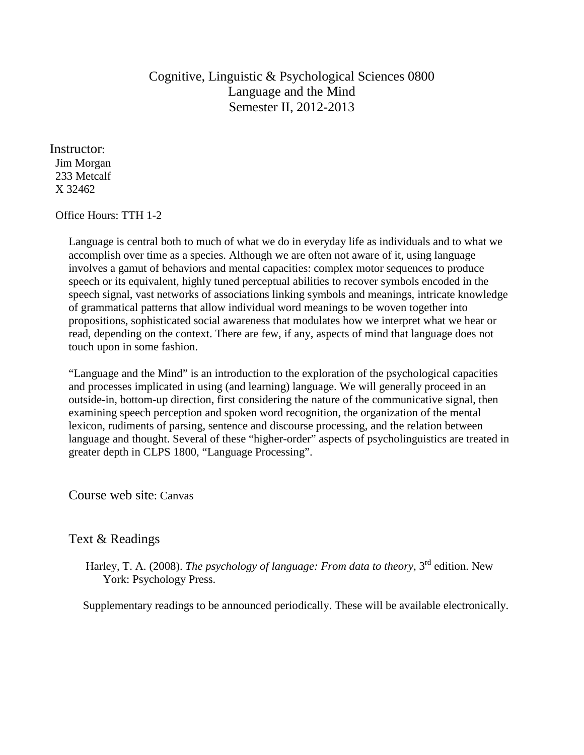# Cognitive, Linguistic & Psychological Sciences 0800 Language and the Mind Semester II, 2012-2013

Instructor: Jim Morgan 233 Metcalf X 32462

#### Office Hours: TTH 1-2

Language is central both to much of what we do in everyday life as individuals and to what we accomplish over time as a species. Although we are often not aware of it, using language involves a gamut of behaviors and mental capacities: complex motor sequences to produce speech or its equivalent, highly tuned perceptual abilities to recover symbols encoded in the speech signal, vast networks of associations linking symbols and meanings, intricate knowledge of grammatical patterns that allow individual word meanings to be woven together into propositions, sophisticated social awareness that modulates how we interpret what we hear or read, depending on the context. There are few, if any, aspects of mind that language does not touch upon in some fashion.

"Language and the Mind" is an introduction to the exploration of the psychological capacities and processes implicated in using (and learning) language. We will generally proceed in an outside-in, bottom-up direction, first considering the nature of the communicative signal, then examining speech perception and spoken word recognition, the organization of the mental lexicon, rudiments of parsing, sentence and discourse processing, and the relation between language and thought. Several of these "higher-order" aspects of psycholinguistics are treated in greater depth in CLPS 1800, "Language Processing".

Course web site: Canvas

## Text & Readings

Harley, T. A. (2008). *The psychology of language: From data to theory*, 3<sup>rd</sup> edition. New York: Psychology Press.

Supplementary readings to be announced periodically. These will be available electronically.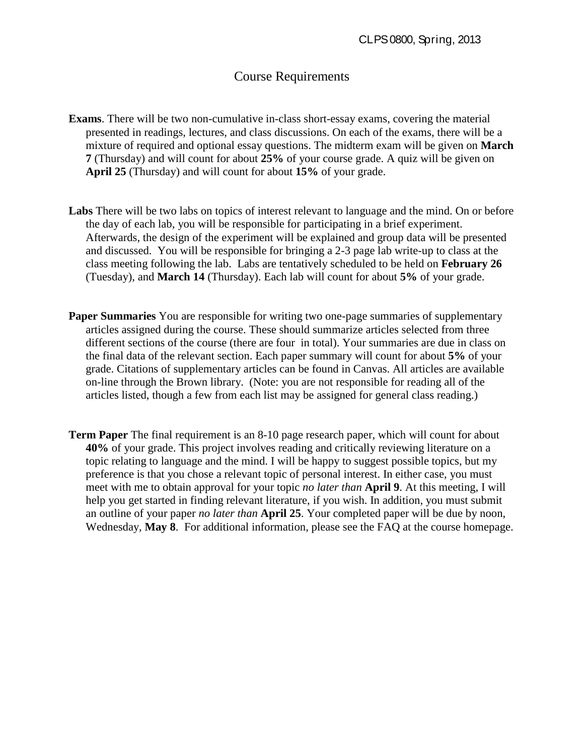## Course Requirements

- **Exams**. There will be two non-cumulative in-class short-essay exams, covering the material presented in readings, lectures, and class discussions. On each of the exams, there will be a mixture of required and optional essay questions. The midterm exam will be given on **March 7** (Thursday) and will count for about **25%** of your course grade. A quiz will be given on **April 25** (Thursday) and will count for about **15%** of your grade.
- **Labs** There will be two labs on topics of interest relevant to language and the mind. On or before the day of each lab, you will be responsible for participating in a brief experiment. Afterwards, the design of the experiment will be explained and group data will be presented and discussed. You will be responsible for bringing a 2-3 page lab write-up to class at the class meeting following the lab. Labs are tentatively scheduled to be held on **February 26** (Tuesday), and **March 14** (Thursday). Each lab will count for about **5%** of your grade.
- **Paper Summaries** You are responsible for writing two one-page summaries of supplementary articles assigned during the course. These should summarize articles selected from three different sections of the course (there are four in total). Your summaries are due in class on the final data of the relevant section. Each paper summary will count for about **5%** of your grade. Citations of supplementary articles can be found in Canvas. All articles are available on-line through the Brown library. (Note: you are not responsible for reading all of the articles listed, though a few from each list may be assigned for general class reading.)
- **Term Paper** The final requirement is an 8-10 page research paper, which will count for about **40%** of your grade. This project involves reading and critically reviewing literature on a topic relating to language and the mind. I will be happy to suggest possible topics, but my preference is that you chose a relevant topic of personal interest. In either case, you must meet with me to obtain approval for your topic *no later than* **April 9**. At this meeting, I will help you get started in finding relevant literature, if you wish. In addition, you must submit an outline of your paper *no later than* **April 25**. Your completed paper will be due by noon, Wednesday, **May 8**. For additional information, please see the FAQ at the course homepage.